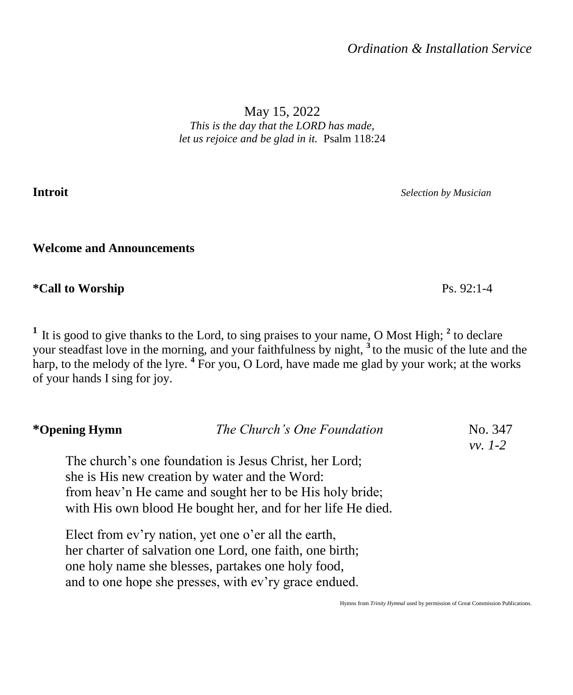May 15, 2022 *This is the day that the LORD has made, let us rejoice and be glad in it.* Psalm 118:24

**Introit** *Selection by Musician*

**Welcome and Announcements**

**\*Call to Worship** Ps. 92:1-4

<sup>1</sup> It is good to give thanks to the Lord, to sing praises to your name, O Most High; <sup>2</sup> to declare your steadfast love in the morning, and your faithfulness by night, **<sup>3</sup>** to the music of the lute and the harp, to the melody of the lyre. **<sup>4</sup>** For you, O Lord, have made me glad by your work; at the works of your hands I sing for joy.

| *Opening Hymn | The Church's One Foundation                                 | No. 347<br>$vv. 1-2$ |
|---------------|-------------------------------------------------------------|----------------------|
|               | The church's one foundation is Jesus Christ, her Lord;      |                      |
|               | she is His new creation by water and the Word:              |                      |
|               | from heav'n He came and sought her to be His holy bride;    |                      |
|               | with His own blood He bought her, and for her life He died. |                      |
|               | Elect from ev'ry nation, yet one o'er all the earth,        |                      |
|               | her charter of salvation one Lord, one faith, one birth;    |                      |
|               | one holy name she blesses, partakes one holy food,          |                      |
|               | and to one hope she presses, with ev'ry grace endued.       |                      |

Hymns from *Trinity Hymnal* used by permission of Great Commission Publications.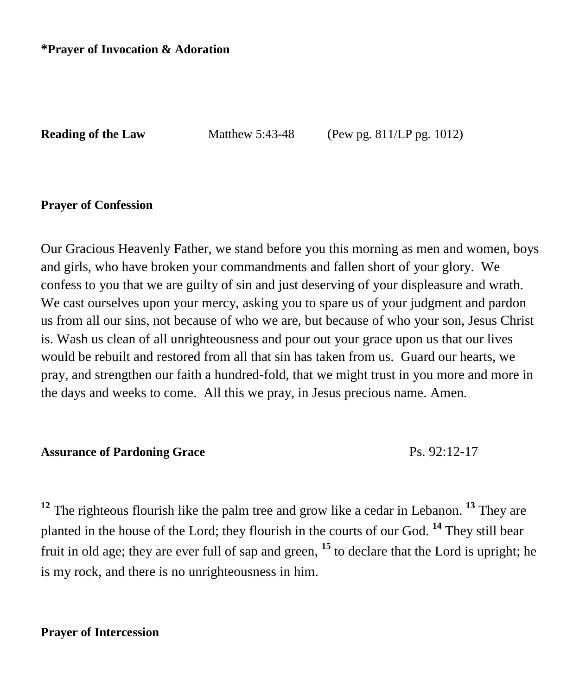#### **\*Prayer of Invocation & Adoration**

**Reading of the Law** Matthew 5:43-48 (Pew pg. 811/LP pg. 1012)

#### **Prayer of Confession**

Our Gracious Heavenly Father, we stand before you this morning as men and women, boys and girls, who have broken your commandments and fallen short of your glory. We confess to you that we are guilty of sin and just deserving of your displeasure and wrath. We cast ourselves upon your mercy, asking you to spare us of your judgment and pardon us from all our sins, not because of who we are, but because of who your son, Jesus Christ is. Wash us clean of all unrighteousness and pour out your grace upon us that our lives would be rebuilt and restored from all that sin has taken from us. Guard our hearts, we pray, and strengthen our faith a hundred-fold, that we might trust in you more and more in the days and weeks to come. All this we pray, in Jesus precious name. Amen.

#### Assurance of Pardoning Grace **Ps. 92:12-17**

**<sup>12</sup>** The righteous flourish like the palm tree and grow like a cedar in Lebanon. **<sup>13</sup>** They are planted in the house of the Lord; they flourish in the courts of our God. **<sup>14</sup>** They still bear fruit in old age; they are ever full of sap and green, **<sup>15</sup>** to declare that the Lord is upright; he is my rock, and there is no unrighteousness in him.

## **Prayer of Intercession**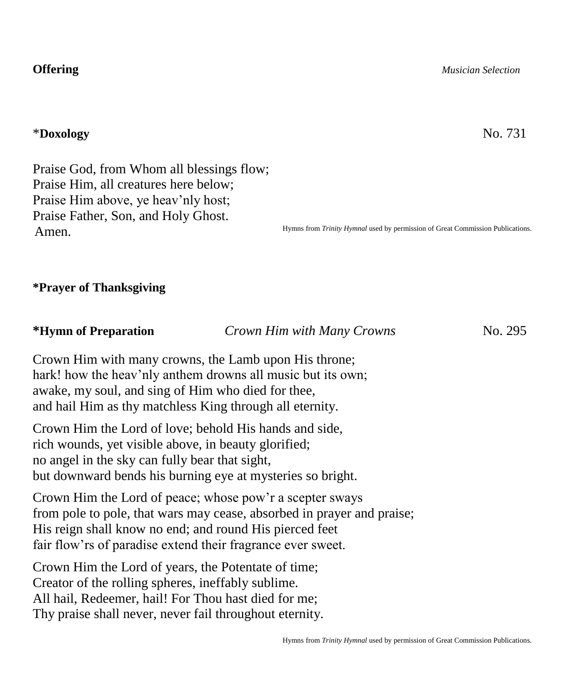\***Doxology** No. 731

Praise God, from Whom all blessings flow; Praise Him, all creatures here below; Praise Him above, ye heav'nly host; Praise Father, Son, and Holy Ghost. Amen.

Hymns from *Trinity Hymnal* used by permission of Great Commission Publications.

**\*Prayer of Thanksgiving**

**\*Hymn of Preparation** *Crown Him with Many Crowns* No. 295

Crown Him with many crowns, the Lamb upon His throne; hark! how the heav'nly anthem drowns all music but its own; awake, my soul, and sing of Him who died for thee, and hail Him as thy matchless King through all eternity.

Crown Him the Lord of love; behold His hands and side, rich wounds, yet visible above, in beauty glorified; no angel in the sky can fully bear that sight, but downward bends his burning eye at mysteries so bright.

Crown Him the Lord of peace; whose pow'r a scepter sways from pole to pole, that wars may cease, absorbed in prayer and praise; His reign shall know no end; and round His pierced feet fair flow'rs of paradise extend their fragrance ever sweet.

Crown Him the Lord of years, the Potentate of time; Creator of the rolling spheres, ineffably sublime. All hail, Redeemer, hail! For Thou hast died for me; Thy praise shall never, never fail throughout eternity.

**Offering** *Musician Selection*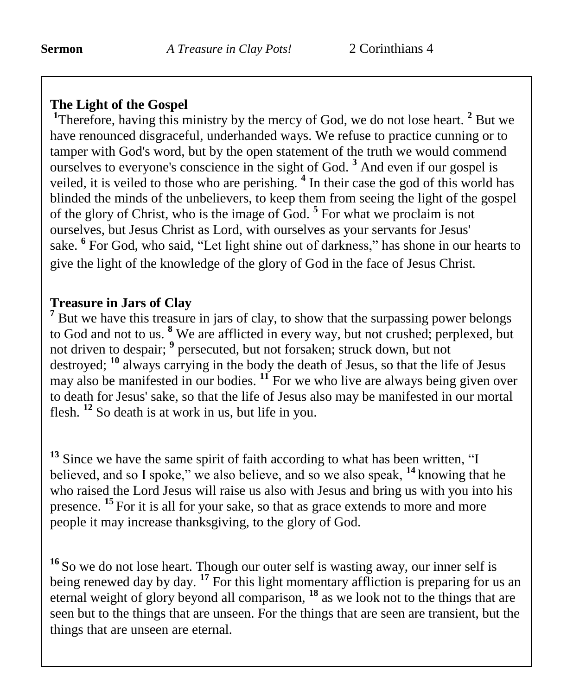# **The Light of the Gospel**

<sup>1</sup>Therefore, having this ministry by the mercy of God, we do not lose heart.<sup>2</sup> But we have renounced disgraceful, underhanded ways. We refuse to practice cunning or to tamper with God's word, but by the open statement of the truth we would commend ourselves to everyone's conscience in the sight of God. **<sup>3</sup>** And even if our gospel is veiled, it is veiled to those who are perishing. **<sup>4</sup>** In their case the god of this world has blinded the minds of the unbelievers, to keep them from seeing the light of the gospel of the glory of Christ, who is the image of God. **<sup>5</sup>** For what we proclaim is not ourselves, but Jesus Christ as Lord, with ourselves as your servants for Jesus' sake. **<sup>6</sup>** For God, who said, "Let light shine out of darkness," has shone in our hearts to give the light of the knowledge of the glory of God in the face of Jesus Christ.

# **Treasure in Jars of Clay**

<sup>7</sup> But we have this treasure in jars of clay, to show that the surpassing power belongs to God and not to us. **<sup>8</sup>** We are afflicted in every way, but not crushed; perplexed, but not driven to despair; **<sup>9</sup>** persecuted, but not forsaken; struck down, but not destroyed; **<sup>10</sup>** always carrying in the body the death of Jesus, so that the life of Jesus may also be manifested in our bodies. **<sup>11</sup>** For we who live are always being given over to death for Jesus' sake, so that the life of Jesus also may be manifested in our mortal flesh. **<sup>12</sup>** So death is at work in us, but life in you.

<sup>13</sup> Since we have the same spirit of faith according to what has been written, "I believed, and so I spoke," we also believe, and so we also speak, **<sup>14</sup>** knowing that he who raised the Lord Jesus will raise us also with Jesus and bring us with you into his presence. **<sup>15</sup>** For it is all for your sake, so that as grace extends to more and more people it may increase thanksgiving, to the glory of God.

**<sup>16</sup>** So we do not lose heart. Though our outer self is wasting away, our inner self is being renewed day by day.<sup>17</sup> For this light momentary affliction is preparing for us an eternal weight of glory beyond all comparison, **<sup>18</sup>** as we look not to the things that are seen but to the things that are unseen. For the things that are seen are transient, but the things that are unseen are eternal.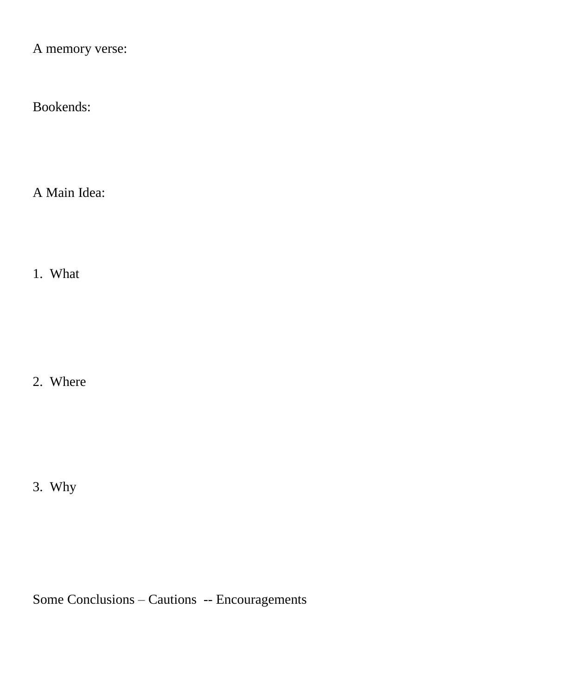A memory verse:

Bookends:

A Main Idea:

1. What

2. Where

3. Why

Some Conclusions – Cautions -- Encouragements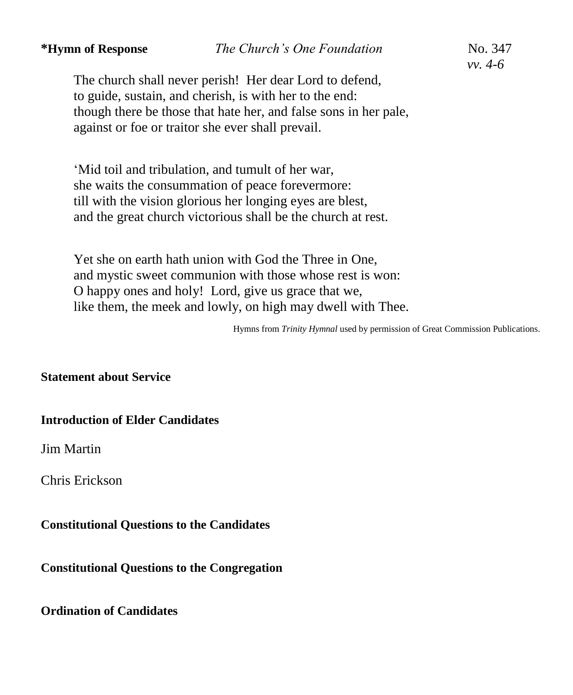The church shall never perish! Her dear Lord to defend, to guide, sustain, and cherish, is with her to the end: though there be those that hate her, and false sons in her pale, against or foe or traitor she ever shall prevail.

'Mid toil and tribulation, and tumult of her war, she waits the consummation of peace forevermore: till with the vision glorious her longing eyes are blest, and the great church victorious shall be the church at rest.

Yet she on earth hath union with God the Three in One, and mystic sweet communion with those whose rest is won: O happy ones and holy! Lord, give us grace that we, like them, the meek and lowly, on high may dwell with Thee.

Hymns from *Trinity Hymnal* used by permission of Great Commission Publications.

## **Statement about Service**

#### **Introduction of Elder Candidates**

Jim Martin

Chris Erickson

## **Constitutional Questions to the Candidates**

**Constitutional Questions to the Congregation** 

**Ordination of Candidates**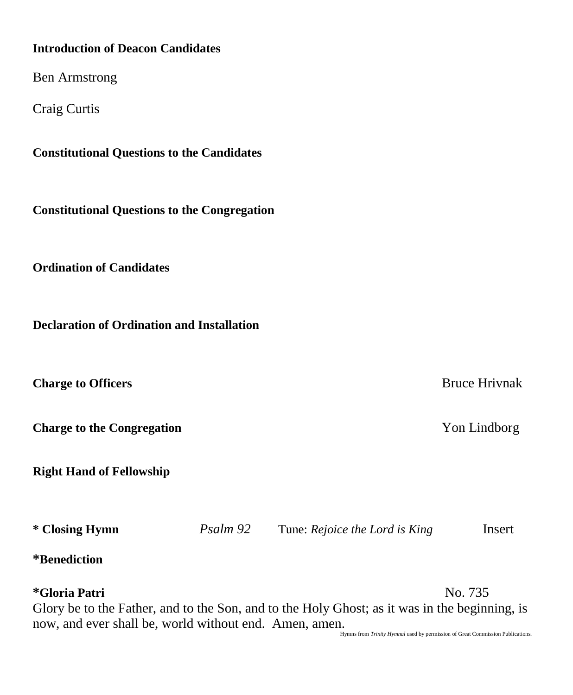## **Introduction of Deacon Candidates**

Ben Armstrong

Craig Curtis

**Constitutional Questions to the Candidates**

**Constitutional Questions to the Congregation** 

**Ordination of Candidates** 

**Declaration of Ordination and Installation** 

**Charge to Officers Bruce Hrivnak** 

**Charge to the Congregation Von Lindborg** 

**Right Hand of Fellowship**

**\* Closing Hymn** *Psalm 92*Tune: *Rejoice the Lord is King*Insert

**\*Benediction** 

**\*Gloria Patri** No. 735

Glory be to the Father, and to the Son, and to the Holy Ghost; as it was in the beginning, is now, and ever shall be, world without end. Amen, amen.

Hymns from *Trinity Hymnal* used by permission of Great Commission Publications.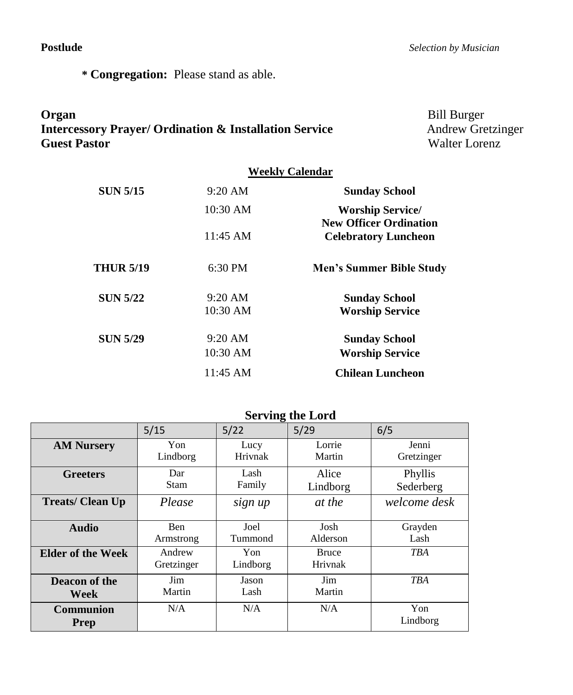**\* Congregation:** Please stand as able.

# **Organ** Bill Burger **Intercessory Prayer/ Ordination & Installation Service Andrew Gretzinger Guest Pastor Walter Lorenz**

# **Weekly Calendar SUN 5/15** 9:20 AM **Sunday School** 10:30 AM **Worship Service/ New Officer Ordination** 11:45 AM **Celebratory Luncheon THUR 5/19** 6:30 PM **Men's Summer Bible Study SUN 5/22** 9:20 AM **Sunday School** 10:30 AM **Worship Service SUN 5/29** 9:20 AM **Sunday School** 10:30 AM **Worship Service** 11:45 AM **Chilean Luncheon**

**Serving the Lord**

|                                 | <b>DETAIRE THE FOLA</b> |                 |                         |                      |
|---------------------------------|-------------------------|-----------------|-------------------------|----------------------|
|                                 | 5/15                    | 5/22            | 5/29                    | 6/5                  |
| <b>AM Nursery</b>               | Yon<br>Lindborg         | Lucy<br>Hrivnak | Lorrie<br>Martin        | Jenni<br>Gretzinger  |
| <b>Greeters</b>                 | Dar<br>Stam             | Lash<br>Family  | Alice<br>Lindborg       | Phyllis<br>Sederberg |
| <b>Treats/Clean Up</b>          | Please                  | sign up         | at the                  | welcome desk         |
| <b>Audio</b>                    | <b>Ben</b><br>Armstrong | Joel<br>Tummond | Josh<br>Alderson        | Grayden<br>Lash      |
| Elder of the Week               | Andrew<br>Gretzinger    | Yon<br>Lindborg | <b>Bruce</b><br>Hrivnak | <b>TBA</b>           |
| Deacon of the<br>Week           | Jim<br>Martin           | Jason<br>Lash   | Jim<br>Martin           | <b>TBA</b>           |
| <b>Communion</b><br><b>Prep</b> | N/A                     | N/A             | N/A                     | Yon<br>Lindborg      |